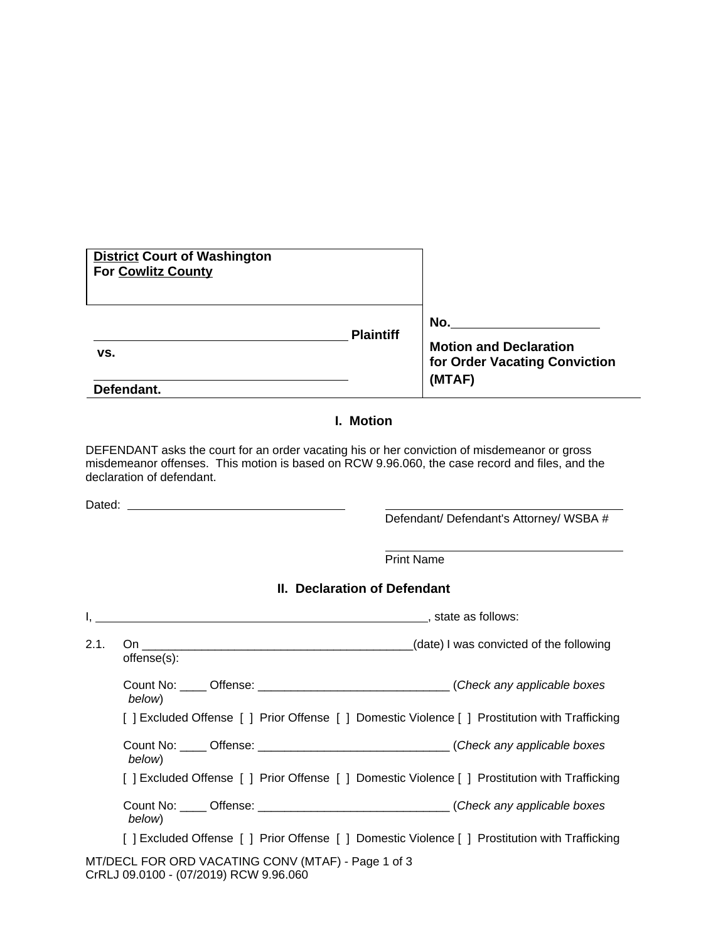| <b>District Court of Washington</b><br>For Cowlitz County |                  |                                         |
|-----------------------------------------------------------|------------------|-----------------------------------------|
|                                                           | <b>Plaintiff</b> | No.<br><b>Motion and Declaration</b>    |
| VS.<br>Defendant.                                         |                  | for Order Vacating Conviction<br>(MTAF) |

## **I. Motion**

DEFENDANT asks the court for an order vacating his or her conviction of misdemeanor or gross misdemeanor offenses. This motion is based on RCW 9.96.060, the case record and files, and the declaration of defendant.

Dated:

Defendant/ Defendant's Attorney/ WSBA #

Print Name

 $\overline{a}$ 

## **II. Declaration of Defendant**

|      |             | state as follows:                                                                              |
|------|-------------|------------------------------------------------------------------------------------------------|
| 2.1. | offense(s): | (date) I was convicted of the following                                                        |
|      | below)      | Count No: _____ Offense: __________________________________(Check any applicable boxes         |
|      |             | [] Excluded Offense [] Prior Offense [] Domestic Violence [] Prostitution with Trafficking     |
|      | below)      | Count No: _____ Offense: ___________________________________(Check any applicable boxes        |
|      |             | [ ] Excluded Offense [ ] Prior Offense [ ] Domestic Violence [ ] Prostitution with Trafficking |
|      | below)      | Count No: _____ Offense: ___________________________________(Check any applicable boxes        |
|      |             | [] Excluded Offense [] Prior Offense [] Domestic Violence [] Prostitution with Trafficking     |
|      |             | MT/DECL FOR ORD VACATING CONV (MTAF) - Page 1 of 3                                             |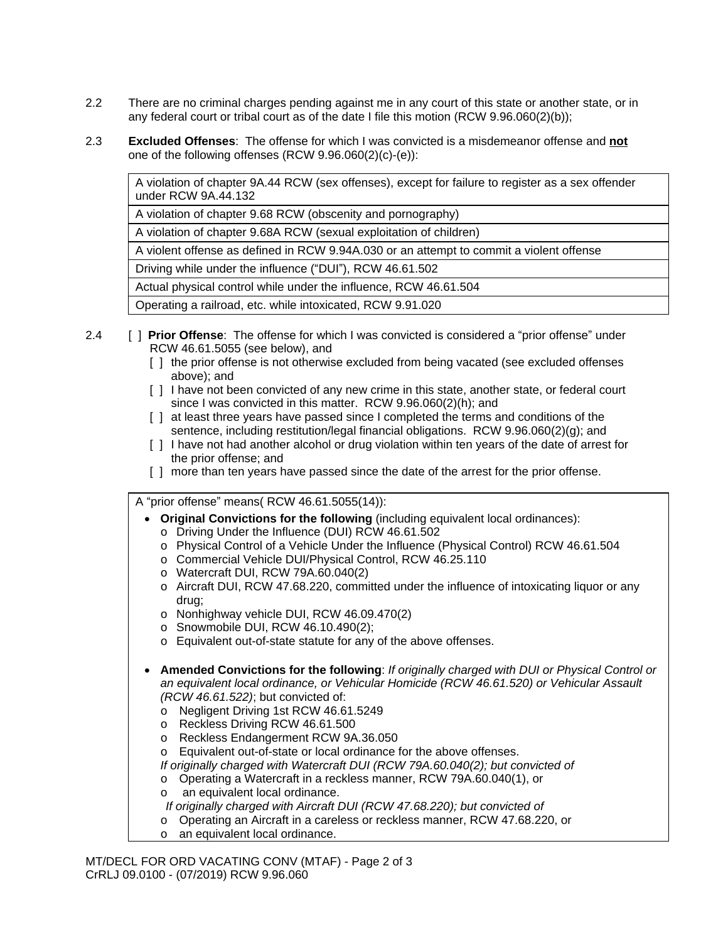- 2.2 There are no criminal charges pending against me in any court of this state or another state, or in any federal court or tribal court as of the date I file this motion (RCW 9.96.060(2)(b));
- 2.3 **Excluded Offenses**: The offense for which I was convicted is a misdemeanor offense and **not** one of the following offenses (RCW 9.96.060(2)(c)-(e)):

A violation of chapter 9A.44 RCW (sex offenses), except for failure to register as a sex offender under RCW 9A.44.132

A violation of chapter 9.68 RCW (obscenity and pornography)

A violation of chapter 9.68A RCW (sexual exploitation of children)

A violent offense as defined in RCW 9.94A.030 or an attempt to commit a violent offense

Driving while under the influence ("DUI"), RCW 46.61.502

Actual physical control while under the influence, RCW 46.61.504

Operating a railroad, etc. while intoxicated, RCW 9.91.020

- 2.4 [ ] **Prior Offense**: The offense for which I was convicted is considered a "prior offense" under RCW 46.61.5055 (see below), and
	- [ ] the prior offense is not otherwise excluded from being vacated (see excluded offenses above); and
	- [ ] I have not been convicted of any new crime in this state, another state, or federal court since I was convicted in this matter. RCW 9.96.060(2)(h); and
	- [ ] at least three years have passed since I completed the terms and conditions of the sentence, including restitution/legal financial obligations. RCW 9.96.060(2)(g); and
	- [ ] I have not had another alcohol or drug violation within ten years of the date of arrest for the prior offense; and
	- [ ] more than ten years have passed since the date of the arrest for the prior offense.

A "prior offense" means( RCW 46.61.5055(14)):

- **Original Convictions for the following** (including equivalent local ordinances):
	- o Driving Under the Influence (DUI) RCW 46.61.502
	- o Physical Control of a Vehicle Under the Influence (Physical Control) RCW 46.61.504
	- o Commercial Vehicle DUI/Physical Control, RCW 46.25.110
	- o Watercraft DUI, RCW 79A.60.040(2)
	- o Aircraft DUI, RCW 47.68.220, committed under the influence of intoxicating liquor or any drug;
	- o Nonhighway vehicle DUI, RCW 46.09.470(2)
	- o Snowmobile DUI, RCW 46.10.490(2);
	- o Equivalent out-of-state statute for any of the above offenses.
- **Amended Convictions for the following**: *If originally charged with DUI or Physical Control or an equivalent local ordinance, or Vehicular Homicide (RCW 46.61.520) or Vehicular Assault (RCW 46.61.522)*; but convicted of:
	- o Negligent Driving 1st RCW 46.61.5249
	- o Reckless Driving RCW 46.61.500
	- o Reckless Endangerment RCW 9A.36.050
	- o Equivalent out-of-state or local ordinance for the above offenses.
	- *If originally charged with Watercraft DUI (RCW 79A.60.040(2); but convicted of*
	- o Operating a Watercraft in a reckless manner, RCW 79A.60.040(1), or
	- o an equivalent local ordinance.
	- *If originally charged with Aircraft DUI (RCW 47.68.220); but convicted of*
	- o Operating an Aircraft in a careless or reckless manner, RCW 47.68.220, or
	- o an equivalent local ordinance.